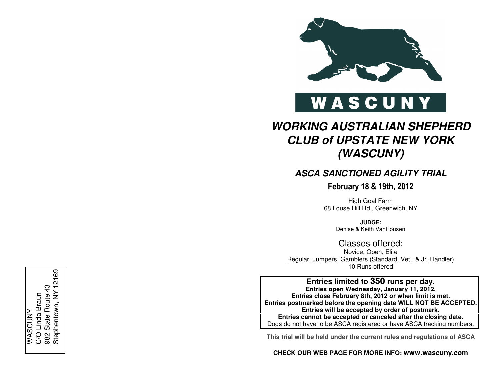

# WASCUNY

## **WORKING AUSTRALIAN SHEPHERD CLUB of UPSTATE NEW YORK (WASCUNY)**

## **ASCA SANCTIONED AGILITY TRIAL**

February 18 & 19th, 2012

High Goal Farm 68 Louse Hill Rd., Greenwich, NY

> **JUDGE:**Denise & Keith VanHousen

## Classes offered:

Novice, Open, Elite Regular, Jumpers, Gamblers (Standard, Vet., & Jr. Handler) 10 Runs offered

**Entries limited to 350 runs per day. Entries open Wednesday, January 11, 2012. Entries close February 8th, 2012 or when limit is met. Entries postmarked before the opening date WILL NOT BE ACCEPTED. Entries will be accepted by order of postmark. Entries cannot be accepted or canceled after the closing date.** Dogs do not have to be ASCA registered or have ASCA tracking numbers.

**This trial will be held under the current rules and regulations of ASCA**

**CHECK OUR WEB PAGE FOR MORE INFO: www.wascuny.com**

982 State Route 43<br>Stephentown, NY 12169 Stephentown, NY 12169982 State Route 43 C/O Linda Braun C/O Linda Braun WASCUNY WASCUNY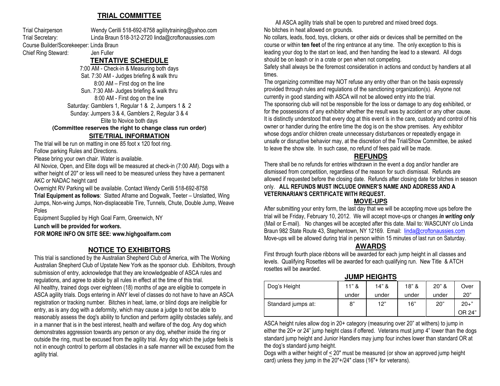## **TRIAL COMMITTEE**

Trial Chairperson Wendy Cerilli 518-692-8758 agilitytraining@yahoo.com Trial Secretary: Linda Braun 518-312-2720 linda@croftonaussies.com Course Builder/Scorekeeper: Linda Braun Chief Ring Steward: Jen Fuller

## **TENTATIVE SCHEDULE**

 7:00 AM - Check-in & Measuring both days Sat. 7:30 AM - Judges briefing & walk thru 8:00 AM – First dog on the line Sun. 7:30 AM- Judges briefing & walk thru 8:00 AM - First dog on the line Saturday: Gamblers 1, Regular 1 & 2, Jumpers 1 & 2 Sunday: Jumpers 3 & 4, Gamblers 2, Regular 3 & 4 Elite to Novice both days

**(Committee reserves the right to change class run order)** 

#### **SITE/TRIAL INFORMATION**

 The trial will be run on matting in one 85 foot x 120 foot ring. Follow parking Rules and Directions.

Please bring your own chair. Water is available.

All Novice, Open, and Elite dogs will be measured at check-in (7:00 AM). Dogs with a wither height of 20" or less will need to be measured unless they have a permanent AKC or NADAC height card

Overnight RV Parking will be available. Contact Wendy Cerilli 518-692-8758

 Trial Equipment as follows: Slatted Aframe and Dogwalk, Teeter – Unslatted, Wing Jumps, Non-wing Jumps, Non-displaceable Tire, Tunnels, Chute, Double Jump, Weave Poles

Equipment Supplied by High Goal Farm, Greenwich, NY

Lunch will be provided for workers.

FOR MORE INFO ON SITE SEE: www.highgoalfarm.com

## **NOTICE TO EXHIBITORS**

 This trial is sanctioned by the Australian Shepherd Club of America, with The Working Australian Shepherd Club of Upstate New York as the sponsor club. Exhibitors, through submission of entry, acknowledge that they are knowledgeable of ASCA rules and regulations, and agree to abide by all rules in effect at the time of this trial. All healthy, trained dogs over eighteen (18) months of age are eligible to compete in ASCA agility trials. Dogs entering in ANY level of classes do not have to have an ASCA registration or tracking number. Bitches in heat, lame, or blind dogs are ineligible for entry, as is any dog with a deformity, which may cause a judge to not be able to reasonably assess the dog's ability to function and perform agility obstacles safely, and in a manner that is in the best interest, health and welfare of the dog. Any dog which demonstrates aggression towards any person or any dog, whether inside the ring or outside the ring, must be excused from the agility trial. Any dog which the judge feels is not in enough control to perform all obstacles in a safe manner will be excused from the agility trial.

All ASCA agility trials shall be open to purebred and mixed breed dogs. No bitches in heat allowed on grounds.

 No collars, leads, food, toys, clickers, or other aids or devices shall be permitted on the course or within ten feet of the ring entrance at any time. The only exception to this is leading your dog to the start on lead, and then handing the lead to a steward. All dogs should be on leash or in a crate or pen when not competing.

Safety shall always be the foremost consideration in actions and conduct by handlers at all times.

 The organizing committee may NOT refuse any entry other than on the basis expressly provided through rules and regulations of the sanctioning organization(s). Anyone not currently in good standing with ASCA will not be allowed entry into the trial. The sponsoring club will not be responsible for the loss or damage to any dog exhibited, or for the possessions of any exhibitor whether the result was by accident or any other cause. It is distinctly understood that every dog at this event is in the care, custody and control of his owner or handler during the entire time the dog is on the show premises. Any exhibitor whose dogs and/or children create unnecessary disturbances or repeatedly engage in unsafe or disruptive behavior may, at the discretion of the Trial/Show Committee, be asked to leave the show site. In such case, no refund of fees paid will be made.

#### **REFUNDS**

 There shall be no refunds for entries withdrawn in the event a dog and/or handler are dismissed from competition, regardless of the reason for such dismissal. Refunds are allowed if requested before the closing date. Refunds after closing date for bitches in season only. ALL REFUNDS MUST INCLUDE OWNER'S NAME AND ADDRESS AND A VETERINARIAN'S CERTIFICATE WITH REQUEST.

#### **MOVE-UPS**

 After submitting your entry form, the last day that we will be accepting move ups before the trial will be Friday, February 10, 2012. We will accept move-ups or changes *in writing only*  (Mail or E-mail). No changes will be accepted after this date. Mail to: WASCUNY c/o Linda Braun 982 State Route 43, Stephentown, NY 12169. Email: linda@croftonaussies.com Move-ups will be allowed during trial in person within 15 minutes of last run on Saturday.

#### **AWARDS**

 First through fourth place ribbons will be awarded for each jump height in all classes and levels. Qualifying Rosettes will be awarded for each qualifying run. New Title & ATCH rosettes will be awarded.

#### **JUMP HEIGHTS**

| Dog's Height       | $11"$ & | 14"8  | $18"$ & | $20"$ & | Over     |
|--------------------|---------|-------|---------|---------|----------|
|                    | under   | under | under   | under   | 20"      |
| Standard jumps at: | 8"      | 12"   | 16"     | 20"     | $20 +$ " |
|                    |         |       |         |         | OR 24"   |

ASCA height rules allow dog in 20+ category (measuring over 20" at withers) to jump in either the 20+ or 24" jump height class if offered. Veterans must jump 4" lower than the dogs standard jump height and Junior Handlers may jump four inches lower than standard OR at the dog's standard jump height.

Dogs with a wither height of < 20" must be measured (or show an approved jump height card) unless they jump in the 20"+/24" class (16"+ for veterans).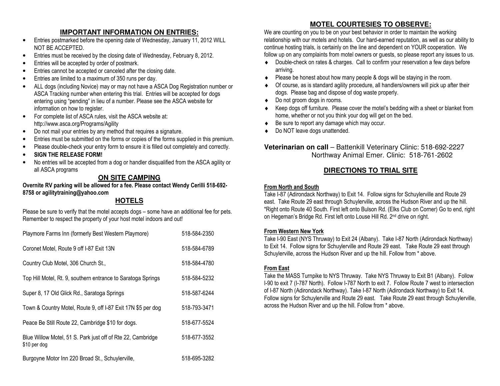## **IMPORTANT INFORMATION ON ENTRIES:**

- Entries postmarked before the opening date of Wednesday, January 11, 2012 WILL •NOT BE ACCEPTED.
- Entries must be received by the closing date of Wednesday, February 8, 2012. •
- •Entries will be accepted by order of postmark.
- •Entries cannot be accepted or canceled after the closing date.
- •Entries are limited to a maximum of 350 runs per day.
- • ALL dogs (including Novice) may or may not have a ASCA Dog Registration number or ASCA Tracking number when entering this trial. Entries will be accepted for dogs entering using "pending" in lieu of a number. Please see the ASCA website for information on how to register.
- $\bullet$  For complete list of ASCA rules, visit the ASCA website at: http://www.asca.org/Programs/Agility
- •Do not mail your entries by any method that requires a signature.
- •Entries must be submitted on the forms or copies of the forms supplied in this premium.
- •Please double-check your entry form to ensure it is filled out completely and correctly.
- •SIGN THE RELEASE FORM!
- • No entries will be accepted from a dog or handler disqualified from the ASCA agility or all ASCA programs

## **ON SITE CAMPING**

#### Overnite RV parking will be allowed for a fee. Please contact Wendy Cerilli 518-692-8758 or agilitytraining@yahoo.com

## **HOTELS**

 Please be sure to verify that the motel accepts dogs – some have an additional fee for pets. Remember to respect the property of your host motel indoors and out!

| Playmore Farms Inn (formerly Best Western Playmore)                         | 518-584-2350 |
|-----------------------------------------------------------------------------|--------------|
| Coronet Motel, Route 9 off I-87 Exit 13N                                    | 518-584-6789 |
| Country Club Motel, 306 Church St.,                                         | 518-584-4780 |
| Top Hill Motel, Rt. 9, southern entrance to Saratoga Springs                | 518-584-5232 |
| Super 8, 17 Old Glick Rd., Saratoga Springs                                 | 518-587-6244 |
| Town & Country Motel, Route 9, off I-87 Exit 17N \$5 per dog                | 518-793-3471 |
| Peace Be Still Route 22, Cambridge \$10 for dogs.                           | 518-677-5524 |
| Blue Willow Motel, 51 S. Park just off of Rte 22, Cambridge<br>\$10 per dog | 518-677-3552 |
| Burgoyne Motor Inn 220 Broad St., Schuylerville,                            | 518-695-3282 |

## **MOTEL COURTESIES TO OBSERVE:**

 We are counting on you to be on your best behavior in order to maintain the working relationship with our motels and hotels. Our hard-earned reputation, as well as our ability to continue hosting trials, is certainly on the line and dependent on YOUR cooperation. We follow up on any complaints from motel owners or guests, so please report any issues to us.

- ♦ Double-check on rates & charges. Call to confirm your reservation a few days before arriving.
- ◆ Please be honest about how many people & dogs will be staying in the room. ♦
- ♦ Of course, as is standard agility procedure, all handlers/owners will pick up after their dogs. Please bag and dispose of dog waste properly.
- ♦Do not groom dogs in rooms.
- ♦ Keep dogs off furniture. Please cover the motel's bedding with a sheet or blanket from home, whether or not you think your dog will get on the bed.
- ♦Be sure to report any damage which may occur.
- ♦Do NOT leave dogs unattended.

## **Veterinarian on call** – Battenkill Veterinary Clinic: 518-692-2227 Northway Animal Emer. Clinic: 518-761-2602

## **DIRECTIONS TO TRIAL SITE**

#### From North and South

 Take I-87 (Adirondack Northway) to Exit 14. Follow signs for Schuylerville and Route 29 east. Take Route 29 east through Schuylerville, across the Hudson River and up the hill. \*Right onto Route 40 South. First left onto Bulson Rd. (Elks Club on Corner) Go to end, right on Hegeman's Bridge Rd. First left onto Louse Hill Rd. 2<sup>nd</sup> drive on right.

#### From Western New York

 Take I-90 East (NYS Thruway) to Exit 24 (Albany). Take I-87 North (Adirondack Northway) to Exit 14. Follow signs for Schuylerville and Route 29 east. Take Route 29 east through Schuylerville, across the Hudson River and up the hill. Follow from \* above.

### From East

 Take the MASS Turnpike to NYS Thruway. Take NYS Thruway to Exit B1 (Albany). Follow I-90 to exit 7 (I-787 North). Follow I-787 North to exit 7. Follow Route 7 west to intersection of I-87 North (Adirondack Northway). Take I-87 North (Adirondack Northway) to Exit 14. Follow signs for Schuylerville and Route 29 east. Take Route 29 east through Schuylerville, across the Hudson River and up the hill. Follow from \* above.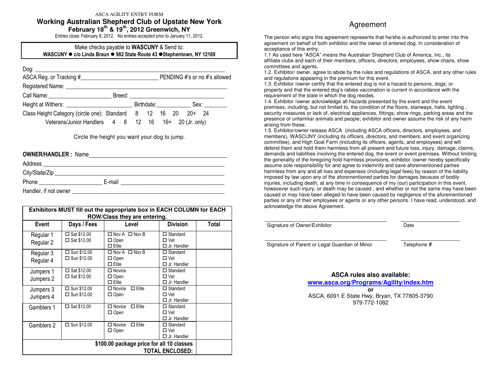ASCA AGILITY ENTRY FORM

#### **Working Australian Shepherd Club of Upstate New York**

**February 18th & 19th, 2012 Greenwich, NY** 

Entries close: February 8, 2012. No entries accepted prior to January 11, 2012.

#### Make checks payable to WASCUNY & Send to: WASCUNY ● c/o Linda Braun ● 982 State Route 43 ●Stephentown, NY 12169

| $\boxed{\text{Dog:}\_\_\_\_\_\_\_}$                                                                                 |  |  |  |                 |                             |
|---------------------------------------------------------------------------------------------------------------------|--|--|--|-----------------|-----------------------------|
| ASCA Reg. or Tracking #                                                                                             |  |  |  |                 | PENDING#'s or no#'s allowed |
| Registered Name: Name: Name and Allen Manual Allen Manual Allen Manual Allen Manual Allen Manual Allen Manual Allen |  |  |  |                 |                             |
| Call Name: Call Name:                                                                                               |  |  |  |                 |                             |
|                                                                                                                     |  |  |  | Birthdate: Sex: |                             |
| Class Height Category (circle one): Standard 8 12 16 20 20+ 24                                                      |  |  |  |                 |                             |
| Veterans/Junior Handlers 4 8 12 16 16+ 20 (Jr. only)                                                                |  |  |  |                 |                             |

Circle the height you want your dog to jump.

#### OWNER/HANDLER : Name

| Address               |        |  |
|-----------------------|--------|--|
| City/State/Zip        |        |  |
| Phone                 | E-mail |  |
| Handler, if not owner |        |  |

|                        | Exhibitors MUST fill out the appropriate box in EACH COLUMN for EACH<br>ROW/Class they are entering. |                                                          |                                                      |       |  |
|------------------------|------------------------------------------------------------------------------------------------------|----------------------------------------------------------|------------------------------------------------------|-------|--|
| Event                  | Days / Fees                                                                                          | Level                                                    | <b>Division</b>                                      | Total |  |
| Regular 1<br>Regular 2 | $\square$ Sat \$12.00<br>$\square$ Sat \$12.00                                                       | $\Box$ Nov A $\Box$ Nov B<br>$\Box$ Open<br>$\Box$ Elite | $\Box$ Standard<br>$\Box$ Vet<br>$\Box$ Jr. Handler  |       |  |
| Regular 3<br>Regular 4 | $\Box$ Sun \$12.00<br>$\Box$ Sun \$12.00                                                             | $\Box$ Nov A $\Box$ Nov B<br>$\Box$ Open<br>$\Box$ Elite | $\Box$ Standard<br>$\Box$ Vet<br>$\Box$ Jr. Handler  |       |  |
| Jumpers 1<br>Jumpers 2 | $\Box$ Sat \$12.00<br>$\Box$ Sat \$12.00                                                             | $\Box$ Novice<br>$\Box$ Open<br>$\Box$ Flite             | $\Box$ Standard<br>$\Box$ Vet<br>$\Box$ . Ir Handler |       |  |
| Jumpers 3<br>Jumpers 4 | $\Box$ Sun \$12.00<br>$\Box$ Sun \$12.00                                                             | $\Box$ Elite<br>$\Box$ Novice<br>$\Box$ Open             | $\Box$ Standard<br>$\Box$ Vet<br>$\Box$ Jr. Handler  |       |  |
| Gamblers 1             | $\Box$ Sat \$12.00                                                                                   | $\square$ Elite<br>$\Box$ Novice<br>□ Open               | $\Box$ Standard<br>$\Box$ Vet<br>$\Box$ Jr. Handler  |       |  |
| Gamblers 2             | $\Box$ Sun \$12.00                                                                                   | $\Box$ Elite<br>$\Box$ Novice<br>$\Box$ Open             | $\Box$ Standard<br>$\Box$ Vet<br>$\Box$ Jr. Handler  |       |  |
|                        | \$100.00 package price for all 10 classes<br><b>TOTAL ENCLOSED:</b>                                  |                                                          |                                                      |       |  |

## **A**greement

The person who signs this agreement represents that he/she is authorized to enter into this agreement on behalf of both exhibitor and the owner of entered dog. In consideration of acceptance of this entry:

 1.1 As used here "ASCA" means the Australian Shepherd Club of America, Inc., its affiliate clubs and each of their members, officers, directors, employees, show chairs, show committees and agents.

 1.2. Exhibitor/ owner, agree to abide by the rules and regulations of ASCA, and any other rules and regulations appearing in the premium for this event.

 1.3. Exhibitor /owner certify that the entered dog is not a hazard to persons, dogs, or property and that the entered dog's rabies vaccination is current in accordance with the requirement of the state in which the dog resides.

 1.4. Exhibitor /owner acknowledge all hazards presented by the event and the event premises, including, but not limited to, the condition of the floors, stairways, halls, lighting , security measures or lack of, electrical appliances, fittings, show rings, parking areas and the presence of unfamiliar animals and people; exhibitor and owner assume the risk of any harm arising from these.

 1.5. Exhibitor/owner release ASCA (including ASCA officers, directors, employees, and members), WASCUNY (including its officers, directors, and members, and event organizing committee), and High Goal Farm (including its officers, agents, and employees) and will defend them and hold them harmless from all present and future loss, injury, damage, claims, demands and liabilities involving the entered dog, the event or event premises. Without limiting the generality of the foregoing hold harmless provisions, exhibitor /owner hereby specifically assume sole responsibility for and agree to indemnify and save aforementioned parties harmless from any and all loss and expenses (including legal fees) by reason of the liability imposed by law upon any of the aforementioned parties for damages because of bodily injuries, including death, at any time in consequence of my (our) participation in this event, howsoever such injury, or death may be caused , and whether or not the same may have been caused or may have been alleged to have been caused by negligence of the aforementioned parties or any of their employees or agents or any other persons. I have read, understood, and acknowledge the above Agreement.

| Signature of Owner/Exhibitor |  |
|------------------------------|--|

Signature of Parent or Legal Guardian of Minor Telephone #

\_\_\_\_\_\_\_\_\_\_\_\_\_\_\_\_\_\_\_\_\_\_\_\_\_\_\_\_\_\_\_\_\_\_\_ \_\_\_\_\_\_\_\_\_\_\_\_\_\_\_\_\_

**ASCA rules also available: www.asca.org/Programs/Agility/index.htmor**  ASCA, 6091 E State Hwy, Bryan, TX 77805-3790 979-772-1082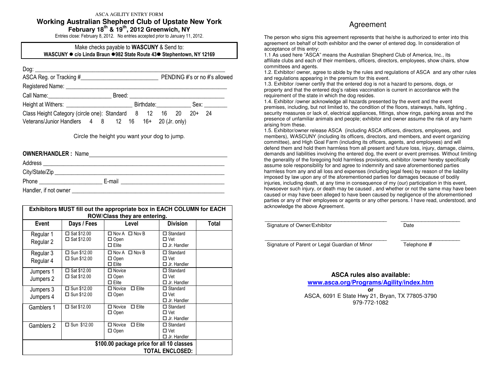ASCA AGILITY ENTRY FORM

#### **Working Australian Shepherd Club of Upstate New York**

**February 18th & 19th, 2012 Greenwich, NY** 

Entries close: February 8, 2012. No entries accepted prior to January 11, 2012.

#### Make checks payable to **WASCUNY** & Send to: WASCUNY ● c/o Linda Braun ●982 State Route 43● Stephentown, NY 12169

| ASCA Reg. or Tracking #                                                                                             |                 | PENDING#'s or no#'s allowed |
|---------------------------------------------------------------------------------------------------------------------|-----------------|-----------------------------|
| Registered Name: Name: Name and Allen Manual Allen Manual Allen Manual Allen Manual Allen Manual Allen Manual Allen |                 |                             |
|                                                                                                                     |                 |                             |
|                                                                                                                     | Birthdate: Sex: |                             |
| Class Height Category (circle one): Standard 8 12 16 20 20+ 24                                                      |                 |                             |
| Veterans/Junior Handlers 4 8 12 16 16 + 20 (Jr. only)                                                               |                 |                             |

Circle the height you want your dog to jump.

| <b>OWNER/HANDLER: Name</b>                                                                                                                                                                                                    |                                                      |
|-------------------------------------------------------------------------------------------------------------------------------------------------------------------------------------------------------------------------------|------------------------------------------------------|
|                                                                                                                                                                                                                               |                                                      |
|                                                                                                                                                                                                                               |                                                      |
|                                                                                                                                                                                                                               | E-mail<br><u> 1980 - Jan Samuel Samuel (b. 1980)</u> |
| Handler, if not owner that the state of the state of the state of the state of the state of the state of the state of the state of the state of the state of the state of the state of the state of the state of the state of |                                                      |

|                                                                     | Exhibitors MUST fill out the appropriate box in EACH COLUMN for EACH<br>ROW/Class they are entering. |                                                          |                                                     |       |  |  |
|---------------------------------------------------------------------|------------------------------------------------------------------------------------------------------|----------------------------------------------------------|-----------------------------------------------------|-------|--|--|
| Event                                                               | Days / Fees                                                                                          | Level                                                    | <b>Division</b>                                     | Total |  |  |
| Regular 1<br>Regular 2                                              | $\Box$ Sat \$12.00<br>$\square$ Sat \$12.00                                                          | $\Box$ Nov A $\Box$ Nov B<br>$\Box$ Open<br>$\Box$ Elite | $\Box$ Standard<br>$\Box$ Vet<br>$\Box$ Jr. Handler |       |  |  |
| Regular 3<br>Regular 4                                              | □ Sun \$12.00<br>$\Box$ Sun \$12.00                                                                  | $\Box$ Nov A $\Box$ Nov B<br>$\Box$ Open<br>$\Box$ Elite | $\Box$ Standard<br>$\Box$ Vet<br>$\Box$ Jr. Handler |       |  |  |
| Jumpers 1<br>Jumpers 2                                              | $\Box$ Sat \$12.00<br>$\Box$ Sat \$12.00                                                             | $\Box$ Novice<br>$\Box$ Open<br>$\Box$ Elite             | $\Box$ Standard<br>$\Box$ Vet<br>$\Box$ Jr. Handler |       |  |  |
| Jumpers 3<br>Jumpers 4                                              | $\Box$ Sun \$12.00<br>$\Box$ Sun \$12.00                                                             | $\square$ Elite<br>$\Box$ Novice<br>$\Box$ Open          | $\Box$ Standard<br>$\Box$ Vet<br>$\Box$ Jr. Handler |       |  |  |
| Gamblers 1                                                          | $\Box$ Sat \$12.00                                                                                   | $\Box$ Elite<br>$\Box$ Novice<br>$\Box$ Open             | $\Box$ Standard<br>$\Box$ Vet<br>$\Box$ Jr. Handler |       |  |  |
| Gamblers 2                                                          | $\square$ Sun \$12.00                                                                                | $\Box$ Novice<br>$\Box$ Elite<br>$\Box$ Open             | $\Box$ Standard<br>$\Box$ Vet<br>$\Box$ Jr. Handler |       |  |  |
| \$100.00 package price for all 10 classes<br><b>TOTAL ENCLOSED:</b> |                                                                                                      |                                                          |                                                     |       |  |  |

## **A**greement

The person who signs this agreement represents that he/she is authorized to enter into this agreement on behalf of both exhibitor and the owner of entered dog. In consideration of acceptance of this entry:

 1.1 As used here "ASCA" means the Australian Shepherd Club of America, Inc., its affiliate clubs and each of their members, officers, directors, employees, show chairs, show committees and agents.

 1.2. Exhibitor/ owner, agree to abide by the rules and regulations of ASCA and any other rules and regulations appearing in the premium for this event.

 1.3. Exhibitor /owner certify that the entered dog is not a hazard to persons, dogs, or property and that the entered dog's rabies vaccination is current in accordance with the requirement of the state in which the dog resides.

 1.4. Exhibitor /owner acknowledge all hazards presented by the event and the event premises, including, but not limited to, the condition of the floors, stairways, halls, lighting , security measures or lack of, electrical appliances, fittings, show rings, parking areas and the presence of unfamiliar animals and people; exhibitor and owner assume the risk of any harm arising from these.

 1.5. Exhibitor/owner release ASCA (including ASCA officers, directors, employees, and members), WASCUNY (including its officers, directors, and members, and event organizing committee), and High Goal Farm (including its officers, agents, and employees) and will defend them and hold them harmless from all present and future loss, injury, damage, claims, demands and liabilities involving the entered dog, the event or event premises. Without limiting the generality of the foregoing hold harmless provisions, exhibitor /owner hereby specifically assume sole responsibility for and agree to indemnify and save aforementioned parties harmless from any and all loss and expenses (including legal fees) by reason of the liability imposed by law upon any of the aforementioned parties for damages because of bodily injuries, including death, at any time in consequence of my (our) participation in this event, howsoever such injury, or death may be caused , and whether or not the same may have been caused or may have been alleged to have been caused by negligence of the aforementioned parties or any of their employees or agents or any other persons. I have read, understood, and acknowledge the above Agreement.

| Signature of Owner/Exhibitor |  |
|------------------------------|--|

\_\_\_\_\_\_\_\_\_\_\_\_\_\_\_\_\_\_\_\_\_\_\_\_\_\_\_\_\_\_\_\_\_\_\_ \_\_\_\_\_\_\_\_\_\_\_\_\_\_\_\_\_ Signature of Parent or Legal Guardian of Minor Telephone #

**ASCA rules also available: www.asca.org/Programs/Agility/index.htmor** 

 ASCA, 6091 E State Hwy 21, Bryan, TX 77805-3790 979-772-1082